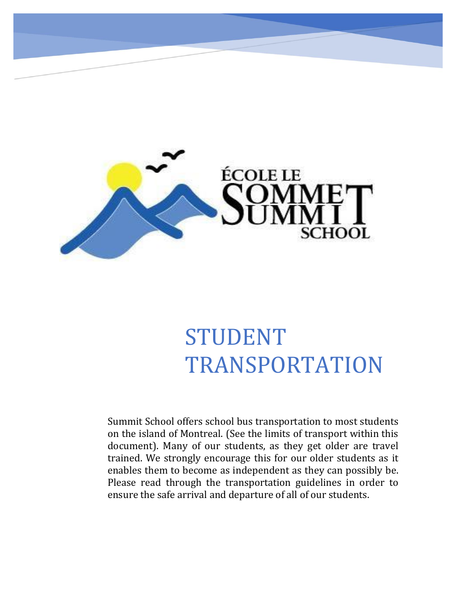

# STUDENT TRANSPORTATION

Summit School offers school bus transportation to most students on the island of Montreal. (See the limits of transport within this document). Many of our students, as they get older are travel trained. We strongly encourage this for our older students as it enables them to become as independent as they can possibly be. Please read through the transportation guidelines in order to ensure the safe arrival and departure of all of our students.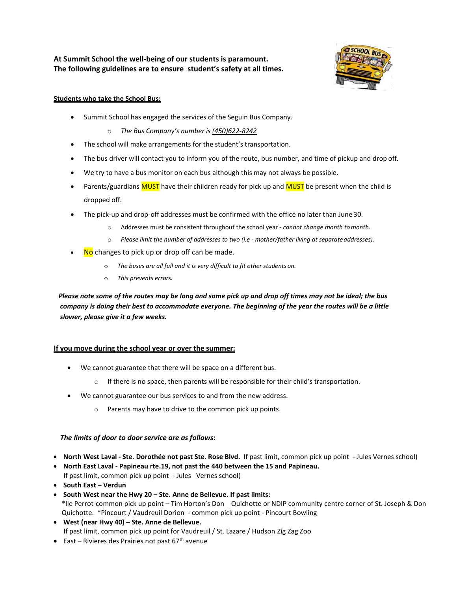**At Summit School the well-being of our students is paramount. The following guidelines are to ensure student's safety at all times.**



## **Students who take the School Bus:**

- Summit School has engaged the services of the Seguin Bus Company.
	- o *The Bus Company's number is (450)622-8242*
- The school will make arrangements for the student's transportation.
- The bus driver will contact you to inform you of the route, bus number, and time of pickup and drop off.
- We try to have a bus monitor on each bus although this may not always be possible.
- Parents/guardians **MUST** have their children ready for pick up and **MUST** be present when the child is dropped off.
- The pick-up and drop-off addresses must be confirmed with the office no later than June 30.
	- o Addresses must be consistent throughout the school year *cannot change month tomonth*.
	- o *Please limit the number of addresses to two (i.e - mother/father living at separateaddresses).*
- No changes to pick up or drop off can be made.
	- o *The buses are all full and it is very difficult to fit other studentson.*
	- o *This prevents errors.*

*Please note some of the routes may be long and some pick up and drop off times may not be ideal; the bus company is doing their best to accommodate everyone. The beginning of the year the routes will be a little slower, please give it a few weeks.*

## **If you move during the school year or over the summer:**

- We cannot guarantee that there will be space on a different bus.
	- $\circ$  If there is no space, then parents will be responsible for their child's transportation.
- We cannot guarantee our bus services to and from the new address.
	- o Parents may have to drive to the common pick up points.

## *The limits of door to door service are as follows***:**

- **North West Laval - Ste. Dorothée not past Ste. Rose Blvd.** If past limit, common pick up point Jules Vernes school)
- **North East Laval - Papineau rte.19, not past the 440 between the 15 and Papineau.**  If past limit, common pick up point - Jules Vernes school)
- **South East – Verdun**
- **South West near the Hwy 20 – Ste. Anne de Bellevue. If past limits:**  \*Ile Perrot-common pick up point – Tim Horton's Don Quichotte or NDIP community centre corner of St. Joseph & Don Quichotte. \*Pincourt / Vaudreuil Dorion - common pick up point - Pincourt Bowling
- **West (near Hwy 40) – Ste. Anne de Bellevue.**  If past limit, common pick up point for Vaudreuil / St. Lazare / Hudson Zig Zag Zoo
- East Rivieres des Prairies not past  $67<sup>th</sup>$  avenue